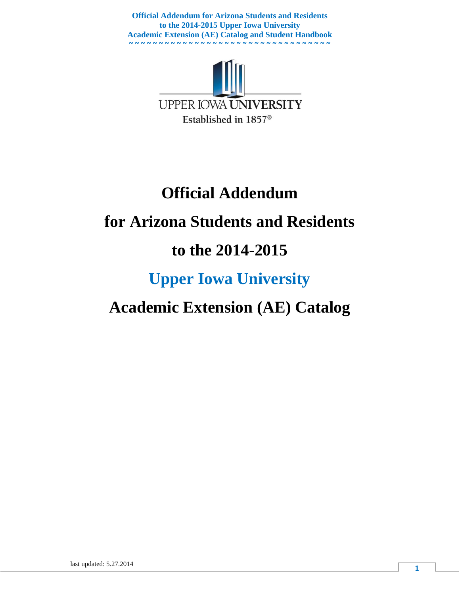

# **Official Addendum for Arizona Students and Residents to the 2014-2015 Upper Iowa University**

## **Academic Extension (AE) Catalog**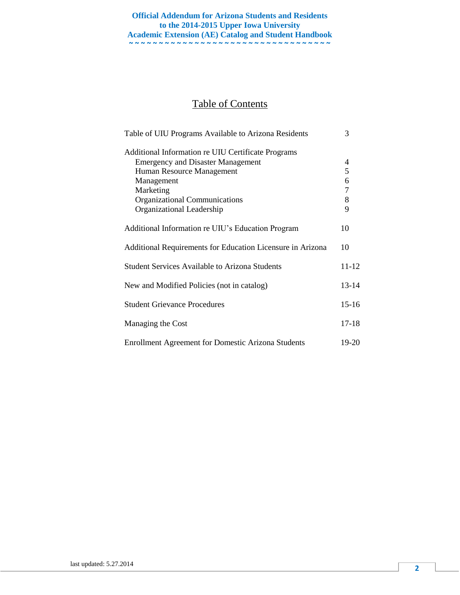## Table of Contents

| Table of UIU Programs Available to Arizona Residents       | 3       |
|------------------------------------------------------------|---------|
| Additional Information re UIU Certificate Programs         |         |
| <b>Emergency and Disaster Management</b>                   | 4       |
| Human Resource Management                                  | 5       |
| Management                                                 | 6       |
| Marketing                                                  | 7       |
| <b>Organizational Communications</b>                       | 8       |
| Organizational Leadership                                  | 9       |
| Additional Information re UIU's Education Program          | 10      |
| Additional Requirements for Education Licensure in Arizona | 10      |
| <b>Student Services Available to Arizona Students</b>      | 11-12   |
| New and Modified Policies (not in catalog)                 | 13-14   |
| <b>Student Grievance Procedures</b>                        | $15-16$ |
| Managing the Cost                                          | $17-18$ |
| <b>Enrollment Agreement for Domestic Arizona Students</b>  | 19-20   |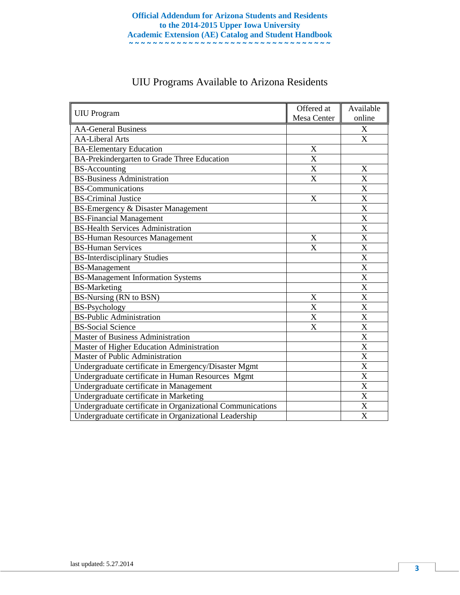| <b>UIU</b> Program                                         | Offered at<br>Mesa Center | Available<br>online       |
|------------------------------------------------------------|---------------------------|---------------------------|
| <b>AA-General Business</b>                                 |                           | X                         |
| <b>AA-Liberal Arts</b>                                     |                           | X                         |
| <b>BA-Elementary Education</b>                             | $\mathbf X$               |                           |
| BA-Prekindergarten to Grade Three Education                | $\mathbf X$               |                           |
| <b>BS-Accounting</b>                                       | $\overline{\text{X}}$     | $\mathbf X$               |
| <b>BS-Business Administration</b>                          | $\overline{\mathrm{X}}$   | $\overline{\text{X}}$     |
| <b>BS-Communications</b>                                   |                           | $\overline{\text{X}}$     |
| <b>BS-Criminal Justice</b>                                 | X                         | $\mathbf X$               |
| <b>BS-Emergency &amp; Disaster Management</b>              |                           | $\mathbf X$               |
| <b>BS-Financial Management</b>                             |                           | $\mathbf X$               |
| <b>BS-Health Services Administration</b>                   |                           | $\mathbf X$               |
| <b>BS-Human Resources Management</b>                       | X                         | $\overline{\mathbf{X}}$   |
| <b>BS-Human Services</b>                                   | $\overline{X}$            | $\overline{X}$            |
| <b>BS-Interdisciplinary Studies</b>                        |                           | X                         |
| <b>BS-Management</b>                                       |                           | $\mathbf X$               |
| <b>BS-Management Information Systems</b>                   |                           | $\mathbf X$               |
| <b>BS-Marketing</b>                                        |                           | $\overline{\text{X}}$     |
| BS-Nursing (RN to BSN)                                     | $\boldsymbol{\mathrm{X}}$ | $\overline{\text{X}}$     |
| <b>BS-Psychology</b>                                       | X                         | $\overline{\text{X}}$     |
| <b>BS-Public Administration</b>                            | $\overline{\text{X}}$     | $\overline{\text{X}}$     |
| <b>BS-Social Science</b>                                   | X                         | $\mathbf X$               |
| <b>Master of Business Administration</b>                   |                           | $\boldsymbol{\mathrm{X}}$ |
| Master of Higher Education Administration                  |                           | $\mathbf X$               |
| <b>Master of Public Administration</b>                     |                           | $\overline{X}$            |
| Undergraduate certificate in Emergency/Disaster Mgmt       |                           | $\mathbf X$               |
| Undergraduate certificate in Human Resources Mgmt          |                           | $\mathbf X$               |
| Undergraduate certificate in Management                    |                           | X                         |
| Undergraduate certificate in Marketing                     |                           | $\mathbf X$               |
| Undergraduate certificate in Organizational Communications |                           | $\boldsymbol{\mathrm{X}}$ |
| Undergraduate certificate in Organizational Leadership     |                           | $\boldsymbol{\mathrm{X}}$ |

## UIU Programs Available to Arizona Residents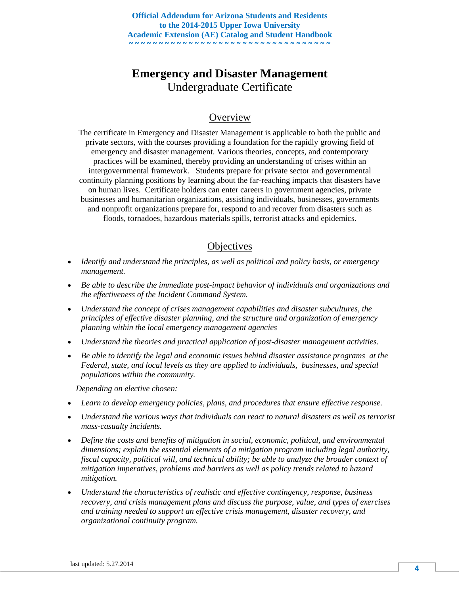## **Emergency and Disaster Management** Undergraduate Certificate

#### **Overview**

The certificate in Emergency and Disaster Management is applicable to both the public and private sectors, with the courses providing a foundation for the rapidly growing field of emergency and disaster management. Various theories, concepts, and contemporary practices will be examined, thereby providing an understanding of crises within an intergovernmental framework. Students prepare for private sector and governmental continuity planning positions by learning about the far-reaching impacts that disasters have on human lives. Certificate holders can enter careers in government agencies, private businesses and humanitarian organizations, assisting individuals, businesses, governments and nonprofit organizations prepare for, respond to and recover from disasters such as floods, tornadoes, hazardous materials spills, terrorist attacks and epidemics.

#### **Objectives**

- *Identify and understand the principles, as well as political and policy basis, or emergency management.*
- *Be able to describe the immediate post-impact behavior of individuals and organizations and the effectiveness of the Incident Command System.*
- *Understand the concept of crises management capabilities and disaster subcultures, the principles of effective disaster planning, and the structure and organization of emergency planning within the local emergency management agencies*
- *Understand the theories and practical application of post-disaster management activities.*
- *Be able to identify the legal and economic issues behind disaster assistance programs at the Federal, state, and local levels as they are applied to individuals, businesses, and special populations within the community.*

 *Depending on elective chosen:*

- *Learn to develop emergency policies, plans, and procedures that ensure effective response.*
- *Understand the various ways that individuals can react to natural disasters as well as terrorist mass-casualty incidents.*
- *Define the costs and benefits of mitigation in social, economic, political, and environmental dimensions; explain the essential elements of a mitigation program including legal authority, fiscal capacity, political will, and technical ability; be able to analyze the broader context of mitigation imperatives, problems and barriers as well as policy trends related to hazard mitigation.*
- *Understand the characteristics of realistic and effective contingency, response, business recovery, and crisis management plans and discuss the purpose, value, and types of exercises and training needed to support an effective crisis management, disaster recovery, and organizational continuity program.*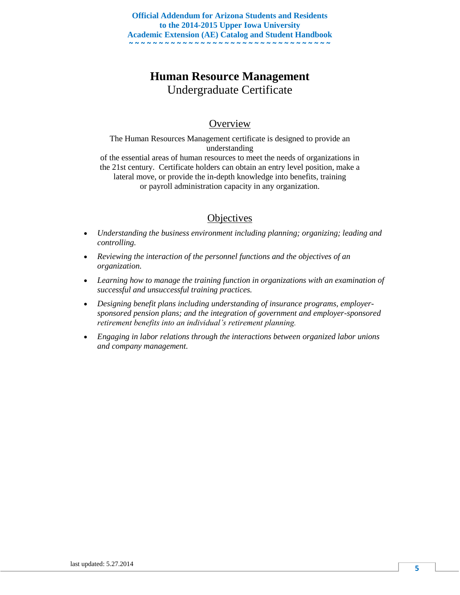## **Human Resource Management** Undergraduate Certificate

## **Overview**

The Human Resources Management certificate is designed to provide an understanding of the essential areas of human resources to meet the needs of organizations in the 21st century. Certificate holders can obtain an entry level position, make a lateral move, or provide the in-depth knowledge into benefits, training or payroll administration capacity in any organization.

- *Understanding the business environment including planning; organizing; leading and controlling.*
- *Reviewing the interaction of the personnel functions and the objectives of an organization.*
- *Learning how to manage the training function in organizations with an examination of successful and unsuccessful training practices.*
- *Designing benefit plans including understanding of insurance programs, employersponsored pension plans; and the integration of government and employer-sponsored retirement benefits into an individual's retirement planning.*
- *Engaging in labor relations through the interactions between organized labor unions and company management.*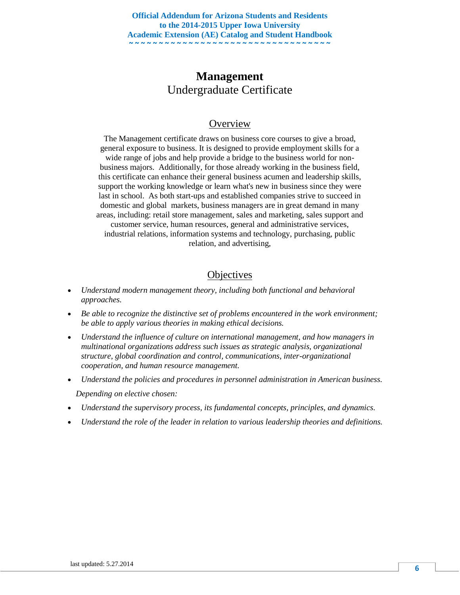## **Management** Undergraduate Certificate

## **Overview**

The Management certificate draws on business core courses to give a broad, general exposure to business. It is designed to provide employment skills for a wide range of jobs and help provide a bridge to the business world for nonbusiness majors. Additionally, for those already working in the business field, this certificate can enhance their general business acumen and leadership skills, support the working knowledge or learn what's new in business since they were last in school. As both start-ups and established companies strive to succeed in domestic and global markets, business managers are in great demand in many areas, including: retail store management, sales and marketing, sales support and customer service, human resources, general and administrative services, industrial relations, information systems and technology, purchasing, public relation, and advertising,

- *Understand modern management theory, including both functional and behavioral approaches.*
- *Be able to recognize the distinctive set of problems encountered in the work environment; be able to apply various theories in making ethical decisions.*
- *Understand the influence of culture on international management, and how managers in multinational organizations address such issues as strategic analysis, organizational structure, global coordination and control, communications, inter-organizational cooperation, and human resource management.*
- *Understand the policies and procedures in personnel administration in American business. Depending on elective chosen:*
- *Understand the supervisory process, its fundamental concepts, principles, and dynamics.*
- *Understand the role of the leader in relation to various leadership theories and definitions.*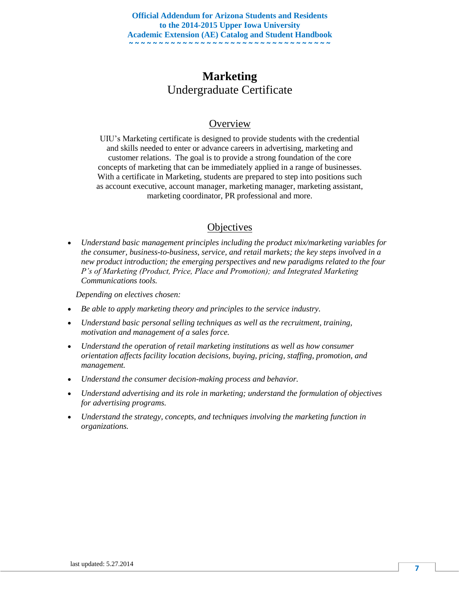## **Marketing** Undergraduate Certificate

## **Overview**

UIU's Marketing certificate is designed to provide students with the credential and skills needed to enter or advance careers in advertising, marketing and customer relations. The goal is to provide a strong foundation of the core concepts of marketing that can be immediately applied in a range of businesses. With a certificate in Marketing, students are prepared to step into positions such as account executive, account manager, marketing manager, marketing assistant, marketing coordinator, PR professional and more.

## **Objectives**

 *Understand basic management principles including the product mix/marketing variables for the consumer, business-to-business, service, and retail markets; the key steps involved in a new product introduction; the emerging perspectives and new paradigms related to the four P's of Marketing (Product, Price, Place and Promotion); and Integrated Marketing Communications tools.*

 *Depending on electives chosen:*

- *Be able to apply marketing theory and principles to the service industry.*
- *Understand basic personal selling techniques as well as the recruitment, training, motivation and management of a sales force.*
- *Understand the operation of retail marketing institutions as well as how consumer orientation affects facility location decisions, buying, pricing, staffing, promotion, and management.*
- *Understand the consumer decision-making process and behavior.*
- *Understand advertising and its role in marketing; understand the formulation of objectives for advertising programs.*
- *Understand the strategy, concepts, and techniques involving the marketing function in organizations.*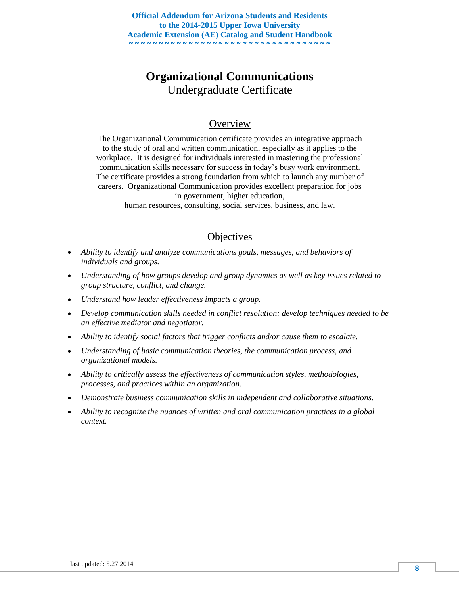## **Organizational Communications** Undergraduate Certificate

## **Overview**

The Organizational Communication certificate provides an integrative approach to the study of oral and written communication, especially as it applies to the workplace. It is designed for individuals interested in mastering the professional communication skills necessary for success in today's busy work environment. The certificate provides a strong foundation from which to launch any number of careers. Organizational Communication provides excellent preparation for jobs in government, higher education,

human resources, consulting, social services, business, and law.

- *Ability to identify and analyze communications goals, messages, and behaviors of individuals and groups.*
- *Understanding of how groups develop and group dynamics as well as key issues related to group structure, conflict, and change.*
- *Understand how leader effectiveness impacts a group.*
- *Develop communication skills needed in conflict resolution; develop techniques needed to be an effective mediator and negotiator.*
- *Ability to identify social factors that trigger conflicts and/or cause them to escalate.*
- *Understanding of basic communication theories, the communication process, and organizational models.*
- *Ability to critically assess the effectiveness of communication styles, methodologies, processes, and practices within an organization.*
- *Demonstrate business communication skills in independent and collaborative situations.*
- *Ability to recognize the nuances of written and oral communication practices in a global context.*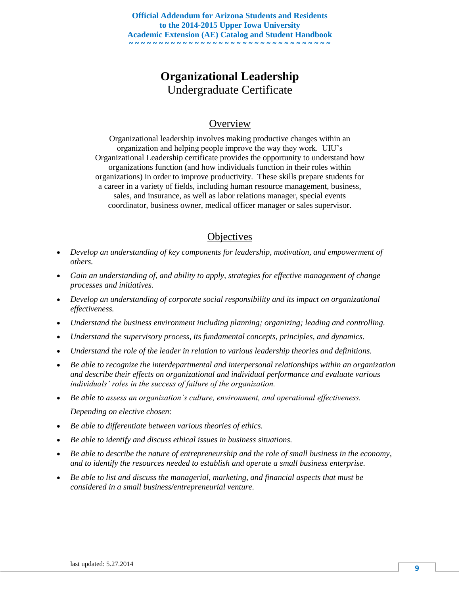## **Organizational Leadership** Undergraduate Certificate

## **Overview**

Organizational leadership involves making productive changes within an organization and helping people improve the way they work. UIU's Organizational Leadership certificate provides the opportunity to understand how organizations function (and how individuals function in their roles within organizations) in order to improve productivity. These skills prepare students for a career in a variety of fields, including human resource management, business, sales, and insurance, as well as labor relations manager, special events coordinator, business owner, medical officer manager or sales supervisor.

- *Develop an understanding of key components for leadership, motivation, and empowerment of others.*
- *Gain an understanding of, and ability to apply, strategies for effective management of change processes and initiatives.*
- *Develop an understanding of corporate social responsibility and its impact on organizational effectiveness.*
- *Understand the business environment including planning; organizing; leading and controlling.*
- *Understand the supervisory process, its fundamental concepts, principles, and dynamics.*
- *Understand the role of the leader in relation to various leadership theories and definitions.*
- *Be able to recognize the interdepartmental and interpersonal relationships within an organization and describe their effects on organizational and individual performance and evaluate various individuals' roles in the success of failure of the organization.*
- *Be able to assess an organization's culture, environment, and operational effectiveness. Depending on elective chosen:*
- *Be able to differentiate between various theories of ethics.*
- *Be able to identify and discuss ethical issues in business situations.*
- *Be able to describe the nature of entrepreneurship and the role of small business in the economy, and to identify the resources needed to establish and operate a small business enterprise.*
- *Be able to list and discuss the managerial, marketing, and financial aspects that must be considered in a small business/entrepreneurial venture.*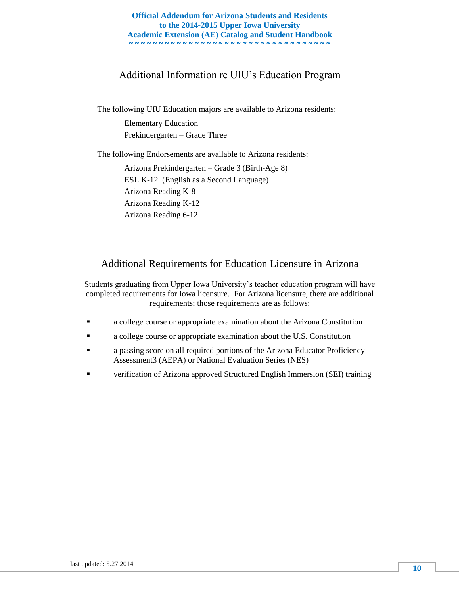## Additional Information re UIU's Education Program

The following UIU Education majors are available to Arizona residents:

Elementary Education Prekindergarten – Grade Three

The following Endorsements are available to Arizona residents:

Arizona Prekindergarten – Grade 3 (Birth-Age 8) ESL K-12 (English as a Second Language) Arizona Reading K-8 Arizona Reading K-12 Arizona Reading 6-12

## Additional Requirements for Education Licensure in Arizona

Students graduating from Upper Iowa University's teacher education program will have completed requirements for Iowa licensure. For Arizona licensure, there are additional requirements; those requirements are as follows:

- a college course or appropriate examination about the Arizona Constitution
- a college course or appropriate examination about the U.S. Constitution
- a passing score on all required portions of the Arizona Educator Proficiency Assessment3 (AEPA) or National Evaluation Series (NES)
- verification of Arizona approved Structured English Immersion (SEI) training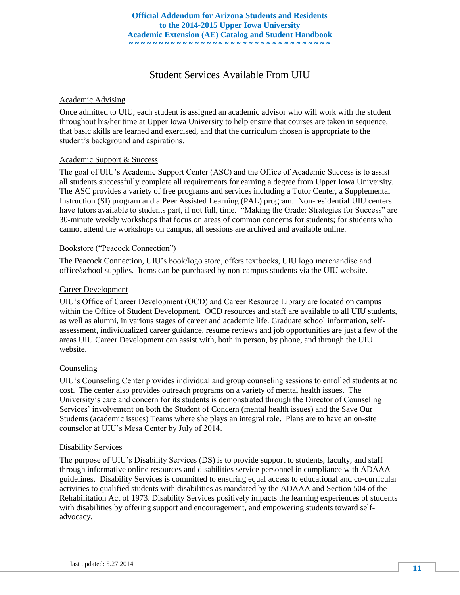## Student Services Available From UIU

#### Academic Advising

Once admitted to UIU, each student is assigned an academic advisor who will work with the student throughout his/her time at Upper Iowa University to help ensure that courses are taken in sequence, that basic skills are learned and exercised, and that the curriculum chosen is appropriate to the student's background and aspirations.

#### Academic Support & Success

The goal of UIU's Academic Support Center (ASC) and the Office of Academic Success is to assist all students successfully complete all requirements for earning a degree from Upper Iowa University. The ASC provides a variety of free programs and services including a Tutor Center, a Supplemental Instruction (SI) program and a Peer Assisted Learning (PAL) program. Non-residential UIU centers have tutors available to students part, if not full, time. "Making the Grade: Strategies for Success" are 30-minute weekly workshops that focus on areas of common concerns for students; for students who cannot attend the workshops on campus, all sessions are archived and available online.

#### Bookstore ("Peacock Connection")

The Peacock Connection, UIU's book/logo store, offers textbooks, UIU logo merchandise and office/school supplies. Items can be purchased by non-campus students via the UIU website.

#### Career Development

UIU's Office of Career Development (OCD) and Career Resource Library are located on campus within the Office of Student Development. OCD resources and staff are available to all UIU students, as well as alumni, in various stages of career and academic life. Graduate school information, selfassessment, individualized career guidance, resume reviews and job opportunities are just a few of the areas UIU Career Development can assist with, both in person, by phone, and through the UIU website.

#### Counseling

UIU's Counseling Center provides individual and group counseling sessions to enrolled students at no cost. The center also provides outreach programs on a variety of mental health issues. The University's care and concern for its students is demonstrated through the Director of Counseling Services' involvement on both the Student of Concern (mental health issues) and the Save Our Students (academic issues) Teams where she plays an integral role. Plans are to have an on-site counselor at UIU's Mesa Center by July of 2014.

#### Disability Services

The purpose of UIU's Disability Services (DS) is to provide support to students, faculty, and staff through informative online resources and disabilities service personnel in compliance with ADAAA guidelines. Disability Services is committed to ensuring equal access to educational and co-curricular activities to qualified students with disabilities as mandated by the ADAAA and Section 504 of the Rehabilitation Act of 1973. Disability Services positively impacts the learning experiences of students with disabilities by offering support and encouragement, and empowering students toward selfadvocacy.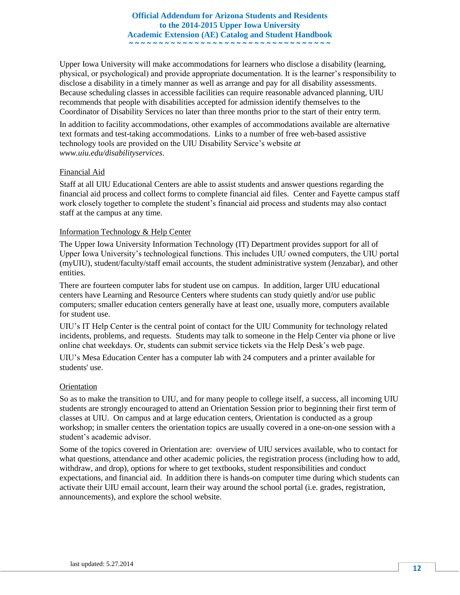Upper Iowa University will make accommodations for learners who disclose a disability (learning, physical, or psychological) and provide appropriate documentation. It is the learner's responsibility to disclose a disability in a timely manner as well as arrange and pay for all disability assessments. Because scheduling classes in accessible facilities can require reasonable advanced planning, UIU recommends that people with disabilities accepted for admission identify themselves to the Coordinator of Disability Services no later than three months prior to the start of their entry term.

In addition to facility accommodations, other examples of accommodations available are alternative text formats and test-taking accommodations. Links to a number of free web-based assistive technology tools are provided on the UIU Disability Service's website *at www.uiu.edu/disabilityservices*.

#### Financial Aid

Staff at all UIU Educational Centers are able to assist students and answer questions regarding the financial aid process and collect forms to complete financial aid files. Center and Fayette campus staff work closely together to complete the student's financial aid process and students may also contact staff at the campus at any time.

#### Information Technology & Help Center

The Upper Iowa University Information Technology (IT) Department provides support for all of Upper Iowa University's technological functions. This includes UIU owned computers, the UIU portal (myUIU), student/faculty/staff email accounts, the student administrative system (Jenzabar), and other entities.

There are fourteen computer labs for student use on campus. In addition, larger UIU educational centers have Learning and Resource Centers where students can study quietly and/or use public computers; smaller education centers generally have at least one, usually more, computers available for student use.

UIU's IT Help Center is the central point of contact for the UIU Community for technology related incidents, problems, and requests. Students may talk to someone in the Help Center via phone or live online chat weekdays. Or, students can submit service tickets via the Help Desk's web page.

UIU's Mesa Education Center has a computer lab with 24 computers and a printer available for students' use.

#### **Orientation**

So as to make the transition to UIU, and for many people to college itself, a success, all incoming UIU students are strongly encouraged to attend an Orientation Session prior to beginning their first term of classes at UIU. On campus and at large education centers, Orientation is conducted as a group workshop; in smaller centers the orientation topics are usually covered in a one-on-one session with a student's academic advisor.

Some of the topics covered in Orientation are: overview of UIU services available, who to contact for what questions, attendance and other academic policies, the registration process (including how to add, withdraw, and drop), options for where to get textbooks, student responsibilities and conduct expectations, and financial aid. In addition there is hands-on computer time during which students can activate their UIU email account, learn their way around the school portal (i.e. grades, registration, announcements), and explore the school website.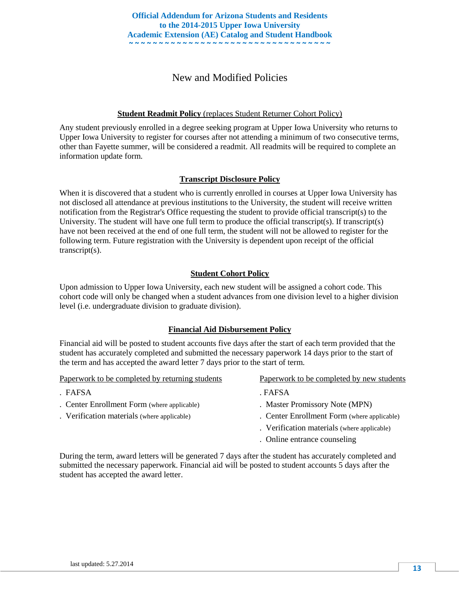## New and Modified Policies

#### **Student Readmit Policy** (replaces Student Returner Cohort Policy)

Any student previously enrolled in a degree seeking program at Upper Iowa University who returns to Upper Iowa University to register for courses after not attending a minimum of two consecutive terms, other than Fayette summer, will be considered a readmit. All readmits will be required to complete an information update form.

#### **Transcript Disclosure Policy**

When it is discovered that a student who is currently enrolled in courses at Upper Iowa University has not disclosed all attendance at previous institutions to the University, the student will receive written notification from the Registrar's Office requesting the student to provide official transcript(s) to the University. The student will have one full term to produce the official transcript(s). If transcript(s) have not been received at the end of one full term, the student will not be allowed to register for the following term. Future registration with the University is dependent upon receipt of the official transcript(s).

#### **Student Cohort Policy**

Upon admission to Upper Iowa University, each new student will be assigned a cohort code. This cohort code will only be changed when a student advances from one division level to a higher division level (i.e. undergraduate division to graduate division).

#### **Financial Aid Disbursement Policy**

Financial aid will be posted to student accounts five days after the start of each term provided that the student has accurately completed and submitted the necessary paperwork 14 days prior to the start of the term and has accepted the award letter 7 days prior to the start of term.

| Paperwork to be completed by returning students                                                                                                                                                                                                                                                                                                                                    | Paperwork to be completed by new students                                                                                                                                                                                                                                                                                                                                                 |
|------------------------------------------------------------------------------------------------------------------------------------------------------------------------------------------------------------------------------------------------------------------------------------------------------------------------------------------------------------------------------------|-------------------------------------------------------------------------------------------------------------------------------------------------------------------------------------------------------------------------------------------------------------------------------------------------------------------------------------------------------------------------------------------|
| . FAFSA                                                                                                                                                                                                                                                                                                                                                                            | . FAFSA                                                                                                                                                                                                                                                                                                                                                                                   |
| . Center Enrollment Form (where applicable)                                                                                                                                                                                                                                                                                                                                        | . Master Promissory Note (MPN)                                                                                                                                                                                                                                                                                                                                                            |
| . Verification materials (where applicable)                                                                                                                                                                                                                                                                                                                                        | . Center Enrollment Form (where applicable)                                                                                                                                                                                                                                                                                                                                               |
|                                                                                                                                                                                                                                                                                                                                                                                    | . Verification materials (where applicable)                                                                                                                                                                                                                                                                                                                                               |
|                                                                                                                                                                                                                                                                                                                                                                                    | . Online entrance counseling                                                                                                                                                                                                                                                                                                                                                              |
| $\mathbf{r}$ and $\mathbf{r}$ and $\mathbf{r}$ and $\mathbf{r}$ and $\mathbf{r}$ and $\mathbf{r}$ and $\mathbf{r}$ and $\mathbf{r}$ and $\mathbf{r}$ and $\mathbf{r}$ and $\mathbf{r}$ and $\mathbf{r}$ and $\mathbf{r}$ and $\mathbf{r}$ and $\mathbf{r}$ and $\mathbf{r}$ and $\mathbf{r}$ and<br>$\mathbf{1}$ $\mathbf{1}$ $\ldots$ $\mathbf{1}$<br>.11.1<br>$\cdot$ 1 $\sim$ 1 | $\mathcal{C}_{\mathcal{C}}$ and $\mathcal{C}_{\mathcal{C}}$ and $\mathcal{C}_{\mathcal{C}}$ and $\mathcal{C}_{\mathcal{C}}$ and $\mathcal{C}_{\mathcal{C}}$ and $\mathcal{C}_{\mathcal{C}}$ and $\mathcal{C}_{\mathcal{C}}$ and $\mathcal{C}_{\mathcal{C}}$ and $\mathcal{C}_{\mathcal{C}}$ and $\mathcal{C}_{\mathcal{C}}$ and $\mathcal{C}_{\mathcal{C}}$ and $\mathcal{C}_{\mathcal{C$ |

During the term, award letters will be generated 7 days after the student has accurately completed and submitted the necessary paperwork. Financial aid will be posted to student accounts 5 days after the student has accepted the award letter.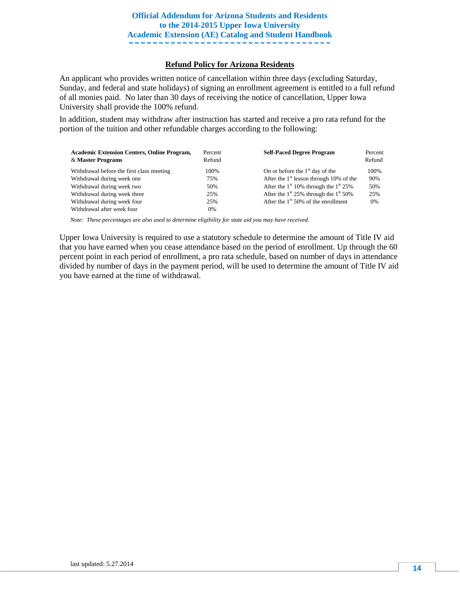#### **Refund Policy for Arizona Residents**

An applicant who provides written notice of cancellation within three days (excluding Saturday, Sunday, and federal and state holidays) of signing an enrollment agreement is entitled to a full refund of all monies paid. No later than 30 days of receiving the notice of cancellation, Upper Iowa University shall provide the 100% refund.

In addition, student may withdraw after instruction has started and receive a pro rata refund for the portion of the tuition and other refundable charges according to the following:

| <b>Academic Extension Centers, Online Program,</b><br>& Master Programs | Percent<br>Refund | <b>Self-Paced Degree Program</b>                | Percent<br>Refund |
|-------------------------------------------------------------------------|-------------------|-------------------------------------------------|-------------------|
| Withdrawal before the first class meeting                               | 100%              | On or before the $1st$ day of the               | 100%              |
| Withdrawal during week one                                              | 75%               | After the $1st$ lesson through 10% of the       | 90%               |
| Withdrawal during week two                                              | 50%               | After the $1st 10%$ through the $1st 25%$       | 50%               |
| Withdrawal during week three                                            | 25%               | After the $1^{st}$ 25% through the $1^{st}$ 50% | 25%               |
| Withdrawal during week four                                             | 25%               | After the $1st 50%$ of the enrollment           | 0%                |
| Withdrawal after week four                                              | 0%                |                                                 |                   |

.<br>Note: These percentages are also used to determine eligibility for state aid you may have received.

Upper Iowa University is required to use a statutory schedule to determine the amount of Title IV aid that you have earned when you cease attendance based on the period of enrollment. Up through the 60 percent point in each period of enrollment, a pro rata schedule, based on number of days in attendance divided by number of days in the payment period, will be used to determine the amount of Title IV aid you have earned at the time of withdrawal.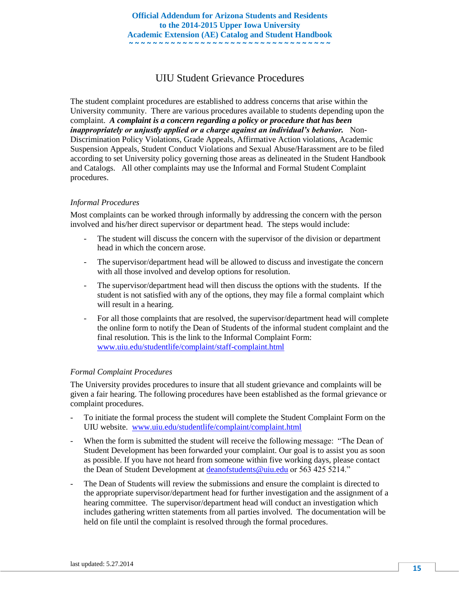## UIU Student Grievance Procedures

The student complaint procedures are established to address concerns that arise within the University community. There are various procedures available to students depending upon the complaint. *A complaint is a concern regarding a policy or procedure that has been inappropriately or unjustly applied or a charge against an individual's behavior.* Non-Discrimination Policy Violations, Grade Appeals, Affirmative Action violations, Academic Suspension Appeals, Student Conduct Violations and Sexual Abuse/Harassment are to be filed according to set University policy governing those areas as delineated in the Student Handbook and Catalogs. All other complaints may use the Informal and Formal Student Complaint procedures.

#### *Informal Procedures*

Most complaints can be worked through informally by addressing the concern with the person involved and his/her direct supervisor or department head. The steps would include:

- The student will discuss the concern with the supervisor of the division or department head in which the concern arose.
- The supervisor/department head will be allowed to discuss and investigate the concern with all those involved and develop options for resolution.
- The supervisor/department head will then discuss the options with the students. If the student is not satisfied with any of the options, they may file a formal complaint which will result in a hearing.
- For all those complaints that are resolved, the supervisor/department head will complete the online form to notify the Dean of Students of the informal student complaint and the final resolution. This is the link to the Informal Complaint Form: [www.uiu.edu/studentlife/complaint/staff-complaint.html](http://www.uiu.edu/studentlife/complaint/staff-complaint.html)

#### *Formal Complaint Procedures*

The University provides procedures to insure that all student grievance and complaints will be given a fair hearing. The following procedures have been established as the formal grievance or complaint procedures.

- To initiate the formal process the student will complete the Student Complaint Form on the UIU website. [www.uiu.edu/studentlife/complaint/complaint.html](http://www.uiu.edu/studentlife/complaint/complaint.html)
- When the form is submitted the student will receive the following message: "The Dean of Student Development has been forwarded your complaint. Our goal is to assist you as soon as possible. If you have not heard from someone within five working days, please contact the Dean of Student Development at [deanofstudents@uiu.edu](mailto:deanofstudents@uiu.edu) or 563 425 5214."
- The Dean of Students will review the submissions and ensure the complaint is directed to the appropriate supervisor/department head for further investigation and the assignment of a hearing committee. The supervisor/department head will conduct an investigation which includes gathering written statements from all parties involved. The documentation will be held on file until the complaint is resolved through the formal procedures.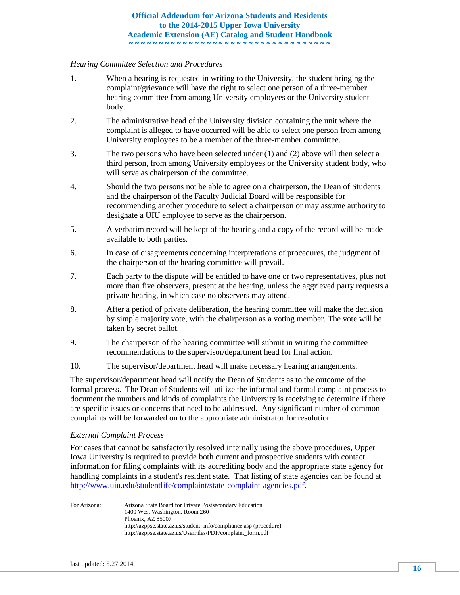#### *Hearing Committee Selection and Procedures*

- 1. When a hearing is requested in writing to the University, the student bringing the complaint/grievance will have the right to select one person of a three-member hearing committee from among University employees or the University student body.
- 2. The administrative head of the University division containing the unit where the complaint is alleged to have occurred will be able to select one person from among University employees to be a member of the three-member committee.
- 3. The two persons who have been selected under (1) and (2) above will then select a third person, from among University employees or the University student body, who will serve as chairperson of the committee.
- 4. Should the two persons not be able to agree on a chairperson, the Dean of Students and the chairperson of the Faculty Judicial Board will be responsible for recommending another procedure to select a chairperson or may assume authority to designate a UIU employee to serve as the chairperson.
- 5. A verbatim record will be kept of the hearing and a copy of the record will be made available to both parties.
- 6. In case of disagreements concerning interpretations of procedures, the judgment of the chairperson of the hearing committee will prevail.
- 7. Each party to the dispute will be entitled to have one or two representatives, plus not more than five observers, present at the hearing, unless the aggrieved party requests a private hearing, in which case no observers may attend.
- 8. After a period of private deliberation, the hearing committee will make the decision by simple majority vote, with the chairperson as a voting member. The vote will be taken by secret ballot.
- 9. The chairperson of the hearing committee will submit in writing the committee recommendations to the supervisor/department head for final action.
- 10. The supervisor/department head will make necessary hearing arrangements.

The supervisor/department head will notify the Dean of Students as to the outcome of the formal process. The Dean of Students will utilize the informal and formal complaint process to document the numbers and kinds of complaints the University is receiving to determine if there are specific issues or concerns that need to be addressed. Any significant number of common complaints will be forwarded on to the appropriate administrator for resolution.

#### *External Complaint Process*

For cases that cannot be satisfactorily resolved internally using the above procedures, Upper Iowa University is required to provide both current and prospective students with contact information for filing complaints with its accrediting body and the appropriate state agency for handling complaints in a student's resident state. That listing of state agencies can be found at [http://www.uiu.edu/studentlife/complaint/state-complaint-agencies.pdf.](https://uiu.edu/support/student-complaint-procedure.html)

For Arizona: Arizona State Board for Private Postsecondary Education 1400 West Washington, Room 260 Phoenix, AZ 85007 http://azppse.state.az.us/student\_info/compliance.asp (procedure) http://azppse.state.az.us/UserFiles/PDF/complaint\_form.pdf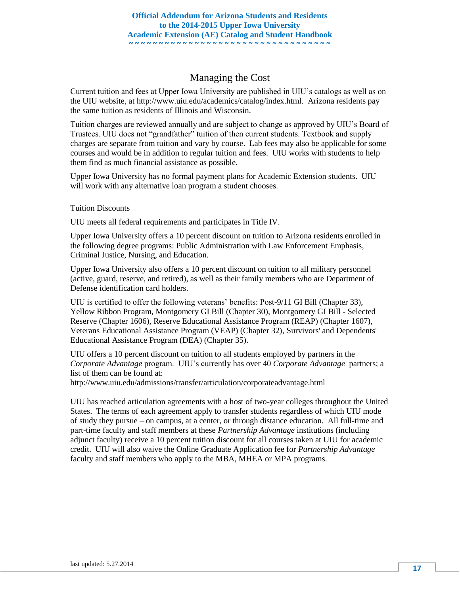## Managing the Cost

Current tuition and fees at Upper Iowa University are published in UIU's catalogs as well as on the UIU website, at http://www.uiu.edu/academics/catalog/index.html. Arizona residents pay the same tuition as residents of Illinois and Wisconsin.

Tuition charges are reviewed annually and are subject to change as approved by UIU's Board of Trustees. UIU does not "grandfather" tuition of then current students. Textbook and supply charges are separate from tuition and vary by course. Lab fees may also be applicable for some courses and would be in addition to regular tuition and fees. UIU works with students to help them find as much financial assistance as possible.

Upper Iowa University has no formal payment plans for Academic Extension students. UIU will work with any alternative loan program a student chooses.

#### Tuition Discounts

UIU meets all federal requirements and participates in Title IV.

Upper Iowa University offers a 10 percent discount on tuition to Arizona residents enrolled in the following degree programs: Public Administration with Law Enforcement Emphasis, Criminal Justice, Nursing, and Education.

Upper Iowa University also offers a 10 percent discount on tuition to all military personnel (active, guard, reserve, and retired), as well as their family members who are Department of Defense identification card holders.

UIU is certified to offer the following veterans' benefits: Post-9/11 GI Bill (Chapter 33), Yellow Ribbon Program, Montgomery GI Bill (Chapter 30), Montgomery GI Bill - Selected Reserve (Chapter 1606), Reserve Educational Assistance Program (REAP) (Chapter 1607), Veterans Educational Assistance Program (VEAP) (Chapter 32), Survivors' and Dependents' Educational Assistance Program (DEA) (Chapter 35).

UIU offers a 10 percent discount on tuition to all students employed by partners in the *Corporate Advantage* program. UIU's currently has over 40 *Corporate Advantage* partners; a list of them can be found at:

http://www.uiu.edu/admissions/transfer/articulation/corporateadvantage.html

UIU has reached articulation agreements with a host of two-year colleges throughout the United States. The terms of each agreement apply to transfer students regardless of which UIU mode of study they pursue – on campus, at a center, or through distance education. All full-time and part-time faculty and staff members at these *Partnership Advantage* institutions (including adjunct faculty) receive a 10 percent tuition discount for all courses taken at UIU for academic credit. UIU will also waive the Online Graduate Application fee for *Partnership Advantage* faculty and staff members who apply to the MBA, MHEA or MPA programs.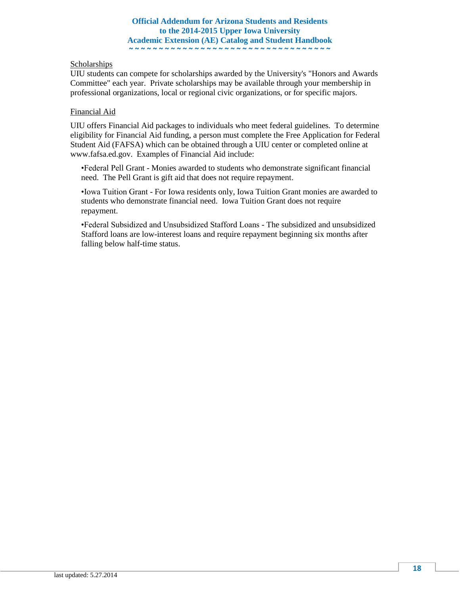#### Scholarships

UIU students can compete for scholarships awarded by the University's "Honors and Awards Committee" each year. Private scholarships may be available through your membership in professional organizations, local or regional civic organizations, or for specific majors.

#### Financial Aid

UIU offers Financial Aid packages to individuals who meet federal guidelines. To determine eligibility for Financial Aid funding, a person must complete the Free Application for Federal Student Aid (FAFSA) which can be obtained through a UIU center or completed online at www.fafsa.ed.gov. Examples of Financial Aid include:

•Federal Pell Grant - Monies awarded to students who demonstrate significant financial need. The Pell Grant is gift aid that does not require repayment.

•Iowa Tuition Grant - For Iowa residents only, Iowa Tuition Grant monies are awarded to students who demonstrate financial need. Iowa Tuition Grant does not require repayment.

•Federal Subsidized and Unsubsidized Stafford Loans - The subsidized and unsubsidized Stafford loans are low-interest loans and require repayment beginning six months after falling below half-time status.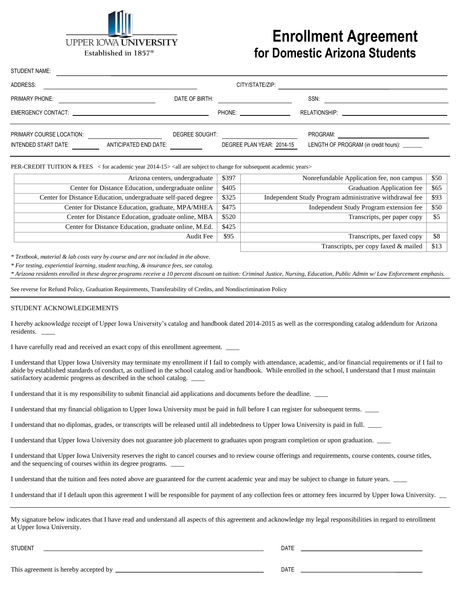

## **Enrollment Agreement for Domestic Arizona Students**

| SIUDENI NAME:            |                                                                                                                                                                                                                               |                                                                                                                                                                                                                                |                                              |  |
|--------------------------|-------------------------------------------------------------------------------------------------------------------------------------------------------------------------------------------------------------------------------|--------------------------------------------------------------------------------------------------------------------------------------------------------------------------------------------------------------------------------|----------------------------------------------|--|
| ADDRESS:                 |                                                                                                                                                                                                                               | CITY/STATE/ZIP:                                                                                                                                                                                                                |                                              |  |
| <b>PRIMARY PHONE:</b>    | DATE OF BIRTH:                                                                                                                                                                                                                |                                                                                                                                                                                                                                | SSN:                                         |  |
|                          | EMERGENCY CONTACT: EXAMPLE THE STATE OF THE STATE OF THE STATE OF THE STATE OF THE STATE OF THE STATE OF THE STATE OF THE STATE OF THE STATE OF THE STATE OF THE STATE OF THE STATE OF THE STATE OF THE STATE OF THE STATE OF | PHONE: The contract of the contract of the contract of the contract of the contract of the contract of the contract of the contract of the contract of the contract of the contract of the contract of the contract of the con |                                              |  |
| PRIMARY COURSE LOCATION: |                                                                                                                                                                                                                               | DEGREE SOUGHT:                                                                                                                                                                                                                 | PROGRAM:                                     |  |
| INTENDED START DATE:     | ANTICIPATED END DATE:                                                                                                                                                                                                         | DEGREE PLAN YEAR: 2014-15                                                                                                                                                                                                      | LENGTH OF PROGRAM (in credit hours): _______ |  |

PER-CREDIT TUITION & FEES < for academic year 2014-15> <all are subject to change for subsequent academic years>

| \$397 | Nonrefundable Application fee, non campus               | \$50 |
|-------|---------------------------------------------------------|------|
| \$405 | Graduation Application fee                              | \$65 |
| \$325 | Independent Study Program administrative withdrawal fee | \$93 |
| \$475 | Independent Study Program extension fee                 | \$50 |
| \$520 | Transcripts, per paper copy                             | \$5  |
| \$425 |                                                         |      |
| \$95  | Transcripts, per faxed copy                             | \$8  |
|       | Transcripts, per copy faxed & mailed                    | \$13 |
|       |                                                         |      |

*\* Textbook, material & lab costs vary by course and are not included in the above.* 

*\* For testing, experiential learning, student teaching, & insurance fees, see catalog.*

\* Arizona residents enrolled in these degree programs receive a 10 percent discount on tuition: Criminal Justice, Nursing, Education, Public Admin w/ Law Enforcement emphasis.

See reverse for Refund Policy, Graduation Requirements, Transferability of Credits, and Nondiscrimination Policy

#### STUDENT ACKNOWLEDGEMENTS

 $\mathbf{S}$  subtlement  $\mathbf{S}$ 

I hereby acknowledge receipt of Upper Iowa University's catalog and handbook dated 2014-2015 as well as the corresponding catalog addendum for Arizona residents. \_\_\_\_

I have carefully read and received an exact copy of this enrollment agreement.  $\overline{\phantom{a}}$ 

I understand that Upper Iowa University may terminate my enrollment if I fail to comply with attendance, academic, and/or financial requirements or if I fail to abide by established standards of conduct, as outlined in the school catalog and/or handbook. While enrolled in the school, I understand that I must maintain satisfactory academic progress as described in the school catalog. \_

I understand that it is my responsibility to submit financial aid applications and documents before the deadline. \_\_\_\_

I understand that my financial obligation to Upper Iowa University must be paid in full before I can register for subsequent terms. \_\_\_\_

I understand that no diplomas, grades, or transcripts will be released until all indebtedness to Upper Iowa University is paid in full. \_\_\_\_

I understand that Upper Iowa University does not guarantee job placement to graduates upon program completion or upon graduation. \_\_\_\_

I understand that Upper Iowa University reserves the right to cancel courses and to review course offerings and requirements, course contents, course titles, and the sequencing of courses within its degree programs.

I understand that the tuition and fees noted above are guaranteed for the current academic year and may be subject to change in future years.

I understand that if I default upon this agreement I will be responsible for payment of any collection fees or attorney fees incurred by Upper Iowa University.

My signature below indicates that I have read and understand all aspects of this agreement and acknowledge my legal responsibilities in regard to enrollment at Upper Iowa University.

STUDENT DATE

This agreement is hereby accepted by DATE